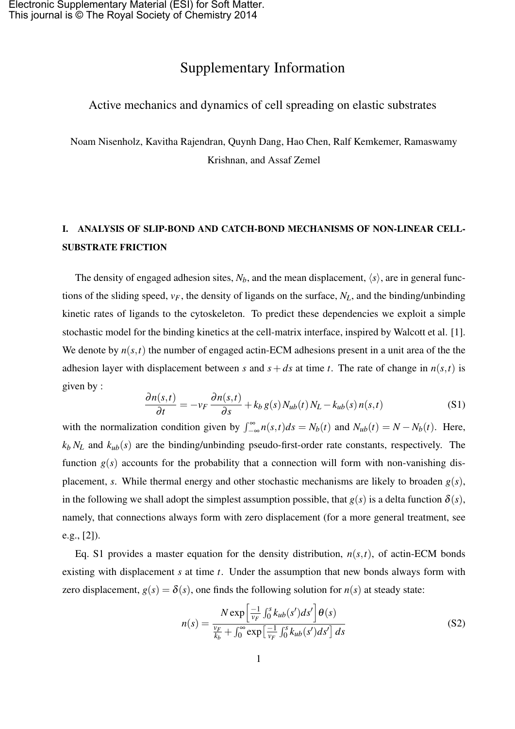## Supplementary Information

## Active mechanics and dynamics of cell spreading on elastic substrates

Noam Nisenholz, Kavitha Rajendran, Quynh Dang, Hao Chen, Ralf Kemkemer, Ramaswamy Krishnan, and Assaf Zemel

## I. ANALYSIS OF SLIP-BOND AND CATCH-BOND MECHANISMS OF NON-LINEAR CELL-SUBSTRATE FRICTION

The density of engaged adhesion sites,  $N_b$ , and the mean displacement,  $\langle s \rangle$ , are in general functions of the sliding speed, *vF*, the density of ligands on the surface, *NL*, and the binding/unbinding kinetic rates of ligands to the cytoskeleton. To predict these dependencies we exploit a simple stochastic model for the binding kinetics at the cell-matrix interface, inspired by Walcott et al. [1]. We denote by  $n(s,t)$  the number of engaged actin-ECM adhesions present in a unit area of the the adhesion layer with displacement between *s* and  $s + ds$  at time *t*. The rate of change in  $n(s,t)$  is given by :

$$
\frac{\partial n(s,t)}{\partial t} = -v_F \frac{\partial n(s,t)}{\partial s} + k_b g(s) N_{ub}(t) N_L - k_{ub}(s) n(s,t)
$$
\n(S1)

with the normalization condition given by  $\int_{-\infty}^{\infty} n(s,t)ds = N_b(t)$  and  $N_{ub}(t) = N - N_b(t)$ . Here,  $k_b N_L$  and  $k_{ub}(s)$  are the binding/unbinding pseudo-first-order rate constants, respectively. The function  $g(s)$  accounts for the probability that a connection will form with non-vanishing displacement, *s*. While thermal energy and other stochastic mechanisms are likely to broaden  $g(s)$ , in the following we shall adopt the simplest assumption possible, that  $g(s)$  is a delta function  $\delta(s)$ , namely, that connections always form with zero displacement (for a more general treatment, see e.g., [2]).

Eq. S1 provides a master equation for the density distribution,  $n(s,t)$ , of actin-ECM bonds existing with displacement *s* at time *t*. Under the assumption that new bonds always form with zero displacement,  $g(s) = \delta(s)$ , one finds the following solution for  $n(s)$  at steady state:

$$
n(s) = \frac{N \exp\left[\frac{-1}{v_F} \int_0^s k_{ub}(s')ds'\right] \theta(s)}{\frac{v_F}{k_b} + \int_0^\infty \exp\left[\frac{-1}{v_F} \int_0^s k_{ub}(s')ds'\right] ds}
$$
(S2)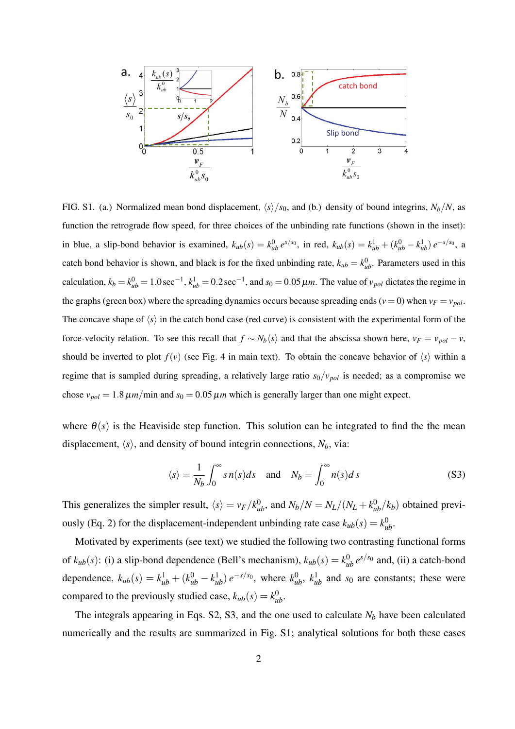

FIG. S1. (a.) Normalized mean bond displacement,  $\langle s \rangle / s_0$ , and (b.) density of bound integrins,  $N_b/N$ , as function the retrograde flow speed, for three choices of the unbinding rate functions (shown in the inset): in blue, a slip-bond behavior is examined,  $k_{ub}(s) = k_{ub}^0 e^{s/s_0}$ , in red,  $k_{ub}(s) = k_{ub}^1 + (k_{ub}^0 - k_{ub}^1) e^{-s/s_0}$ , a catch bond behavior is shown, and black is for the fixed unbinding rate,  $k_{ub} = k_{ub}^0$ . Parameters used in this calculation,  $k_b = k_{ub}^0 = 1.0$  sec<sup>-1</sup>,  $k_{ub}^1 = 0.2$  sec<sup>-1</sup>, and  $s_0 = 0.05 \mu m$ . The value of  $v_{pol}$  dictates the regime in the graphs (green box) where the spreading dynamics occurs because spreading ends ( $v = 0$ ) when  $v_F = v_{pol}$ . The concave shape of  $\langle s \rangle$  in the catch bond case (red curve) is consistent with the experimental form of the force-velocity relation. To see this recall that  $f \sim N_b \langle s \rangle$  and that the abscissa shown here,  $v_F = v_{pol} - v$ , should be inverted to plot  $f(v)$  (see Fig. 4 in main text). To obtain the concave behavior of  $\langle s \rangle$  within a regime that is sampled during spreading, a relatively large ratio  $s_0/v_{pol}$  is needed; as a compromise we chose  $v_{pol} = 1.8 \mu m/min$  and  $s_0 = 0.05 \mu m$  which is generally larger than one might expect.

where  $\theta(s)$  is the Heaviside step function. This solution can be integrated to find the the mean displacement,  $\langle s \rangle$ , and density of bound integrin connections,  $N_b$ , via:

$$
\langle s \rangle = \frac{1}{N_b} \int_0^\infty s n(s) ds \quad \text{and} \quad N_b = \int_0^\infty n(s) ds \tag{S3}
$$

This generalizes the simpler result,  $\langle s \rangle = v_F / k_{ub}^0$ , and  $N_b / N = N_L / (N_L + k_{ub}^0 / k_b)$  obtained previously (Eq. 2) for the displacement-independent unbinding rate case  $k_{ub}(s) = k_{ub}^0$ .

Motivated by experiments (see text) we studied the following two contrasting functional forms of  $k_{ub}(s)$ : (i) a slip-bond dependence (Bell's mechanism),  $k_{ub}(s) = k_{ub}^0 e^{s/s_0}$  and, (ii) a catch-bond dependence,  $k_{ub}(s) = k_{ub}^1 + (k_{ub}^0 - k_{ub}^1) e^{-s/s_0}$ , where  $k_{ub}^0$ ,  $k_{ub}^1$  and  $s_0$  are constants; these were compared to the previously studied case,  $k_{ub}(s) = k_{ub}^0$ .

The integrals appearing in Eqs. S2, S3, and the one used to calculate  $N_b$  have been calculated numerically and the results are summarized in Fig. S1; analytical solutions for both these cases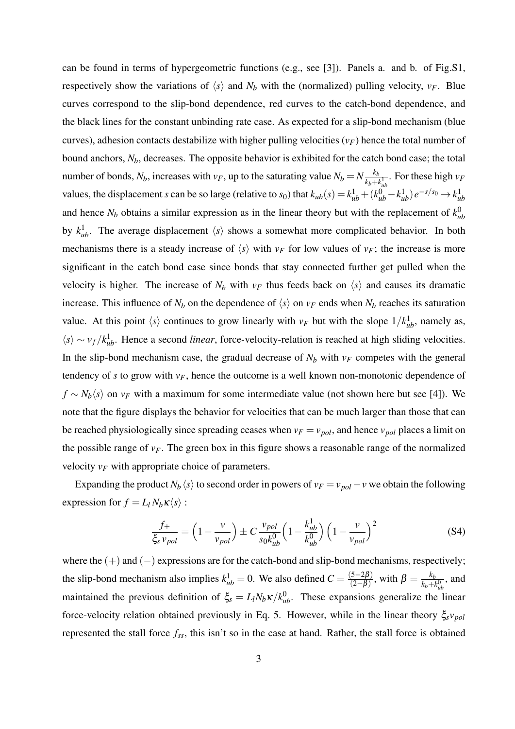can be found in terms of hypergeometric functions (e.g., see [3]). Panels a. and b. of Fig.S1, respectively show the variations of  $\langle s \rangle$  and  $N_b$  with the (normalized) pulling velocity,  $v_F$ . Blue curves correspond to the slip-bond dependence, red curves to the catch-bond dependence, and the black lines for the constant unbinding rate case. As expected for a slip-bond mechanism (blue curves), adhesion contacts destabilize with higher pulling velocities  $(\nu_F)$  hence the total number of bound anchors,  $N_b$ , decreases. The opposite behavior is exhibited for the catch bond case; the total number of bonds,  $N_b$ , increases with  $v_F$ , up to the saturating value  $N_b = N \frac{k_b}{k_b + k_b}$  $\frac{k_b}{k_b + k_{ub}^1}$ . For these high *v<sub>F</sub>* values, the displacement s can be so large (relative to  $s_0$ ) that  $k_{ub}(s) = k_{ub}^1 + (k_{ub}^0 - k_{ub}^1) e^{-s/s_0} \rightarrow k_{ub}^1$ and hence  $N_b$  obtains a similar expression as in the linear theory but with the replacement of  $k_d^0$ *ub* by  $k_{ub}^1$ . The average displacement  $\langle s \rangle$  shows a somewhat more complicated behavior. In both mechanisms there is a steady increase of  $\langle s \rangle$  with  $v_F$  for low values of  $v_F$ ; the increase is more significant in the catch bond case since bonds that stay connected further get pulled when the velocity is higher. The increase of  $N_b$  with  $v_F$  thus feeds back on  $\langle s \rangle$  and causes its dramatic increase. This influence of  $N_b$  on the dependence of  $\langle s \rangle$  on  $v_F$  ends when  $N_b$  reaches its saturation value. At this point  $\langle s \rangle$  continues to grow linearly with  $v_F$  but with the slope  $1/k_{ub}^1$ , namely as,  $\langle s \rangle \sim v_f / k_{ub}^1$ . Hence a second *linear*, force-velocity-relation is reached at high sliding velocities. In the slip-bond mechanism case, the gradual decrease of  $N_b$  with  $v_F$  competes with the general tendency of *s* to grow with  $v_F$ , hence the outcome is a well known non-monotonic dependence of  $f \sim N_b \langle s \rangle$  on  $v_F$  with a maximum for some intermediate value (not shown here but see [4]). We note that the figure displays the behavior for velocities that can be much larger than those that can be reached physiologically since spreading ceases when  $v_F = v_{pol}$ , and hence  $v_{pol}$  places a limit on the possible range of  $v_F$ . The green box in this figure shows a reasonable range of the normalized velocity *v<sup>F</sup>* with appropriate choice of parameters.

Expanding the product  $N_b \langle s \rangle$  to second order in powers of  $v_F = v_{pol} - v$  we obtain the following expression for  $f = L_l N_b \kappa \langle s \rangle$ :

$$
\frac{f_{\pm}}{\xi_{s} \nu_{pol}} = \left(1 - \frac{v}{v_{pol}}\right) \pm C \frac{v_{pol}}{s_0 k_{ub}^0} \left(1 - \frac{k_{ub}^1}{k_{ub}^0}\right) \left(1 - \frac{v}{v_{pol}}\right)^2
$$
(S4)

where the (+) and (*−*) expressions are for the catch-bond and slip-bond mechanisms, respectively; the slip-bond mechanism also implies  $k_{ub}^1 = 0$ . We also defined  $C = \frac{(5-2\beta)}{(2-\beta)}$  $\frac{(5-2\beta)}{(2-\beta)}$ , with  $\beta = \frac{k_b}{k_b+n}$  $\frac{k_b}{k_b+k_{ub}^0}$ , and maintained the previous definition of  $\xi_s = L_l N_b \kappa / k_{ub}^0$ . These expansions generalize the linear force-velocity relation obtained previously in Eq. 5. However, while in the linear theory ξ*svpol* represented the stall force *fss*, this isn't so in the case at hand. Rather, the stall force is obtained